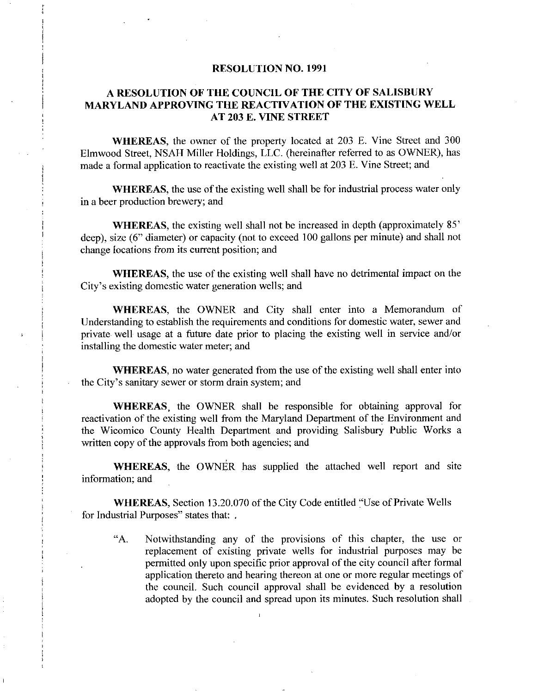#### RESOLUTION NO. 1991

# A RESOLUTION OF THE COUNCIL OF THE CITY OF SALISBURY MARYLANDAPPROVING THE REACTIVATION OF THE EXISTING WELL AT 203 E. VINE STREET

WHEREAS, the owner of the property located at 203 E. Vine Street and 300 Elmwood Street, NSAH Miller Holdings, LLC. (hereinafter referred to as OWNER), has made a formal application to reactivate the existing well at 203 E. Vine Street; and

WHEREAS, the use of the existing well shall be for industrial process water only in a beer production brewery; and

WHEREAS, the existing well shall not be increased in depth (approximately 85' deep), size (6" diameter) or capacity (not to exceed 100 gallons per minute) and shall not change locations from its current position; and

WHEREAS, the use of the existing well shall have no detrimental impact on the City's existing domestic water generation wells; and

WHEREAS, the OWNER and City shall enter into a Memorandum of Understanding to establish the requirements and conditions for domestic water, sewer and private well usage at a future date prior to placing the existing well in service and/or installing the domestic water meter; and

WHEREAS, no water generated from the use of the existing well shall enter into the City's sanitary sewer or storm drain system; and

WHEREAS, the OWNER shall be responsible for obtaining approval for reactivation of the existing well from the Maryland Department of the Environment and the Wicomico County Health Department and providing Salisbury Public Works a written copy of the approvals from both agencies; and

WHEREAS, the OWNER has supplied the attached well report and site information; and

WHEREAS, Section 13.20.070 of the City Code entitled "Use of Private Wells for Industrial Purposes" states that: .

"A. Notwithstanding any of the provisions of this chapter, the use or replacement of existing private wells for industrial purposes may be permitted only upon specific prior approval of the city council after formal application thereto and hearing thereon at one or more regular meetings of the council Such council approval shall be evidenced by a resolution adopted by the council and spread upon its minutes. Such resolution shall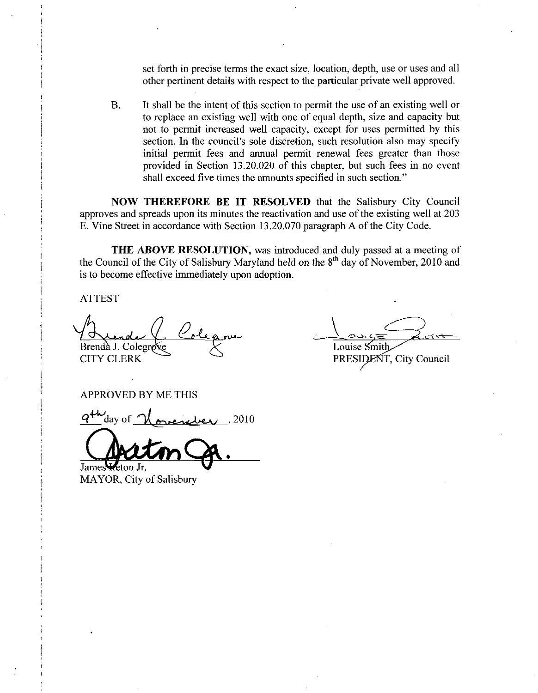set forth in precise terms the exact size, location, depth, use or uses and all other pertinent details with respect to the particular private well approved

B. It shall be the intent of this section to permit the use of an existing well or to replace an existing well with one of equal depth, size and capacity but not to permit increased well capacity, except for uses permitted by this section. In the council's sole discretion, such resolution also may specify initial permit fees and annual permit renewal fees greater than those provided in Section 13.20.020 of this chapter, but such fees in no event initial permit fees and annual permit renewal fees greater than those section. In the council's sole discretion, such resolution also may specify<br>initial permit fees and annual permit renewal fees greater than those<br>provided in Section 13.20.020 of this chapter, but such fees in no event<br>cha shall exceed five times the amounts specified in such section."

NOW THEREFORE BE IT RESOLVED that the Salisbury City Council approves and spreads upon its minutes the reactivation and use of the existing well at <sup>203</sup> **NOW THEREFORE BE IT RESOLVED** that the Salisbury City Capproves and spreads upon its minutes the reactivation and use of the existing well E. Vine Street in accordance with Section 13.20.070 paragraph A of the City Code.

THE ABOVE RESOLUTION, was introduced and duly passed at a meeting of the Council of the City of Salisbury Maryland held on the  $8<sup>th</sup>$  day of November, 2010 and is to become effective immediately upon adoption.

ATTEST

I

i

 $Brenda J. Colegrø  $\chi$  Louis Smith$ Brenda J. Colegrate Etre de Colegrate

 $\overbrace{\text{maximize} \quad \text{matrix}}$  $CITY$  CLERK PRESIDENT, City Council

APPROVED BY ME THIS

James Keton Jr.

MAYOR, City of Salisbury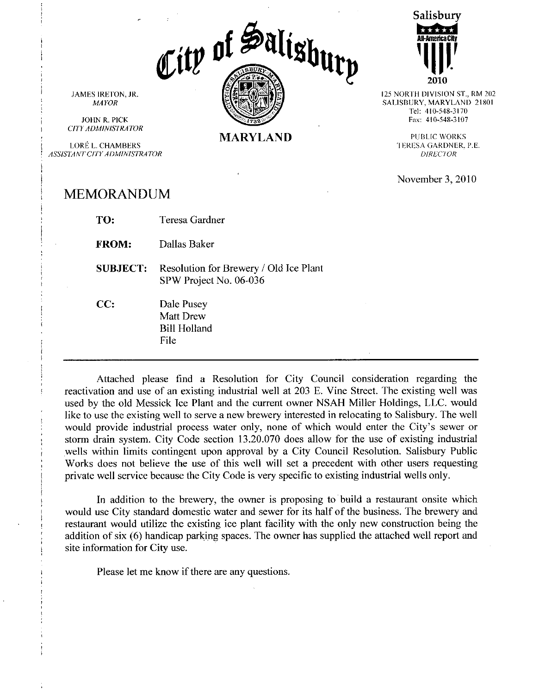**Dr** Ci  $y = \sqrt{2\pi}$ ish<sub>U</sub> **CON** MES IRETON, JR.<br>MATOR JOHN R. PICK<br>JOHN R. PICK<br>RÉ L. CHAMBERS<br>TCITY ADMINISTRATOR



JAMES IRETON, JR.<br>MAYOR MAYOR NEWS

JAMES IRETON, JR.<br>
MAYOR<br>
JOHN R. PICK<br>
CITY ADMINISTRATOR<br>
LORÉ L. CHAMBERS<br>
TANT CITY ADMINISTRATOR JAMES IRETON, JR.<br>*MAYOR*<br>JOHN R. PICK<br>*CITY ADMINISTRATOR*<br>LORÉ L. CHAMBERS<br>*TANT CITY ADMINISTRATC* JAMES IRETON, JR.<br>
MAYOR<br>
JOHN R. PICK<br>
CITY ADMINISTRATOR<br>
LORÉ L. CHAMBERS<br>
ASSISTANT CITY ADMINISTRATOR<br>
MEMORANDUM LORÉ L. CHAMBERS<br>ASSISTANT CITY ADMINISTRATOR JAMES IRETON, JR.<br>
MAYOR<br>
JOHN R. PICK<br>
CITY ADMINISTRATOR<br>
LORÉ L. CHAMBERS<br>
ASSISTANT CITY ADMINISTRATOR<br>
MEMORANDUM

MARYLAND

125 NORTH DIVISION ST., RM 202 SALISBURY, MARYLAND 21801 ORT, MARTEAN<br>Tel: 410-548-3170<br>Fax: 410-548-3107

PUBLIC WORKS TERESA GARDNER, P.E. Fax: 410-548-3107<br>PUBLIC WORKS<br>RESA GARDNER, I<br>DIRECTOR

November 3, 2010

# MEMORANDUM

| TO:              | Teresa Gardner                                                   |
|------------------|------------------------------------------------------------------|
| <b>FROM:</b>     | Dallas Baker                                                     |
| SUBJE <b>CT:</b> | Resolution for Brewery / Old Ice Plant<br>SPW Project No. 06-036 |
| CC:              | Dale Pusey<br>Matt Drew<br><b>Bill Holland</b><br>File           |

Attached please find a Resolution for City Council consideration regarding the reactivation and use of an existing industrial well at 203 E. Vine Street. The existing well was used by the old Messick Ice Plant and the current owner NSAH Miller Holdings, LLC. would like to use the existing well to serve a new brewery interested in relocating to Salisbury. The well would provide industrial process like to use the existing well to serve a new brewery interested in relocating to Salisbury. The well would provide industrial process water only, none of which would enter the City's sewer or storm drain system. City Code section 13.20.070 does allow for the use of existing industrial wells within limits contingent upon approval by a City Council Resolution. Salisbury Public Works does not believe the use of this well will set a precedent with other users requesting private well service because the City Code is very specific to existing industrial wells only.

In addition to the brewery, the owner is proposing to build a restaurant onsite which would use City standard domestic water and sewer for its half of the business. The brewery and restaurant would utilize the existing ice plant facility with the only new construction being the addition of six (6) handicap parking spaces. The owner has supplied the attached well report and site information for City use

Please let me know if there are any questions.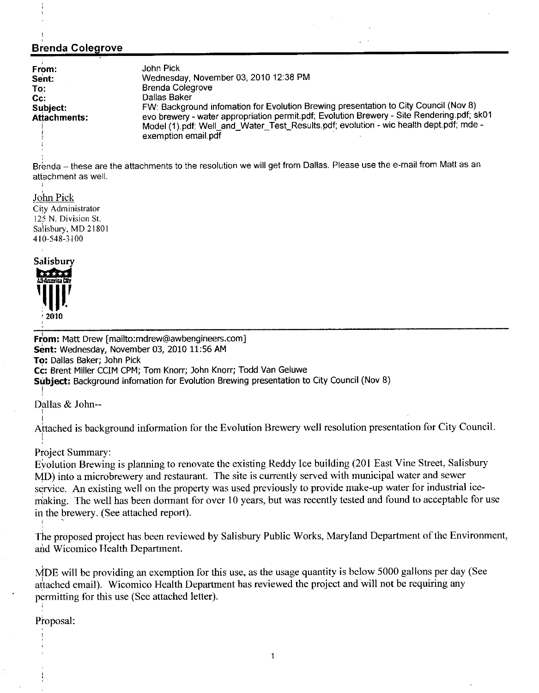# Brenda Colearove

| From:               | John Pick                                                                                  |
|---------------------|--------------------------------------------------------------------------------------------|
| Sent:               | Wednesday, November 03, 2010 12:38 PM                                                      |
| To:                 | <b>Brenda Colegrove</b>                                                                    |
| Cc:                 | Dallas Baker                                                                               |
| Subject:            | FW: Background information for Evolution Brewing presentation to City Council (Nov 8)      |
| <b>Attachments:</b> | evo brewery - water appropriation permit.pdf; Evolution Brewery - Site Rendering.pdf; sk01 |
|                     | Model (1) pdf; Well_and_Water_Test_Results.pdf; evolution - wic health dept.pdf; mde -     |
|                     | exemption email pdf                                                                        |
|                     |                                                                                            |

Brenda - these are the attachments to the resolution we will get from Dallas. Please use the e-mail from Matt as an attachment as well

John Pick City Administrator 125 N. Division St. 125 N. Division St.<br>Salisbury, MD 21801<br>410-548-3100



From **From:** Matt Drew [mailto:mdrew@awbengineers<br>**Sent:** Wednesday, November 03, 2010 11:56 AM |<br>|<br>| Matt Drew [mailto:mdrew@awbengineers.com]<br>| Wednesday, November 03, 2010 11:56 AM<br>| las Baker: John Pick To: Dallas Baker: John Pick Cc: Brent Miller CCIM CPM; Tom Knorr; John Knorr; Todd Van Geluwe Subject: Background infomation for Evolution Brewing presentation to City Council (Nov 8)

Dallas & John--

i

i

i

Attached is background information for the Evolution Brewery well resolution presentation for City Council

Project Summary

Evolution Brewing is planning to renovate the existing Reddy Ice building (201 East Vine Street, Salisbury MD) into a microbrewery and restaurant. The site is currently served with municipal water and sewer service. An existing well on the property was used previously to provide make-up water for industrial icemaking. The well has been dormant for over 10 years, but was recently tested and found to acceptable for use in the brewery. (See attached report).

The proposed project has been reviewed by Salisbury Public Works, Maryland Department of the Environment, and Wicomico Health Department.

MDE will be providing an exemption for this use, as the usage quantity is below 5000 gallons per day (See attached email). Wicomico Health Department has reviewed the project and will not be requiring any permitting for this use (See attached letter).

Proposal: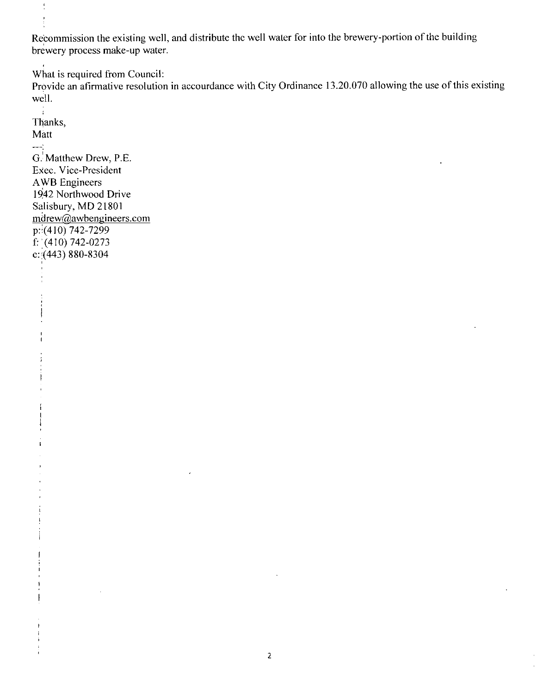Recommission the existing well, and distribute the well water for into the brewery-portion of the building brewery process make-up water.

What is required from Council

Provide an afirmative resolution in accourdance with City Ordinance 13.20.070 allowing the use of this existing well

<sup>,</sup><br>thew Drew, P.E.<br>lignineers<br>orthwood Drive<br>ry, MD 21801<br>@awbengineers.com<br>) 742-7299<br>) 742-0273<br>880-8304 ÷ Thanks Thanks,<br>
Matt<br>
G. Matthew Drew, I<br>
Exec. Vice-Presider<br>
AWB Engineers<br>
1942 Northwood Dr<br>
Salisbury, MD 2180<br>
<u>mdrew@awbengine</u><br>
p: (410) 742-7299<br>
f: (410) 742-0273<br>
c: (443) 880-8304 Matt --:<br>G. Matthew Drew, P.E.<br>Exec. Vice-President AWB Engineers 1942 Northwood Drive Salisbury, MD 21801 Salisbury, MD 218<br>
mdrew@awbengir<br>
p::(410) 742-7299<br>
f: '(410) 742-0273 mdrew@awbengin<br>p: (410) 742-7299<br>f: (410) 742-0273<br>c: (443) 880-8304 mdrew p:<sup>{</sup>(410) 742-7299<br>f: {(410) 742-0273  $\mathbf{I}$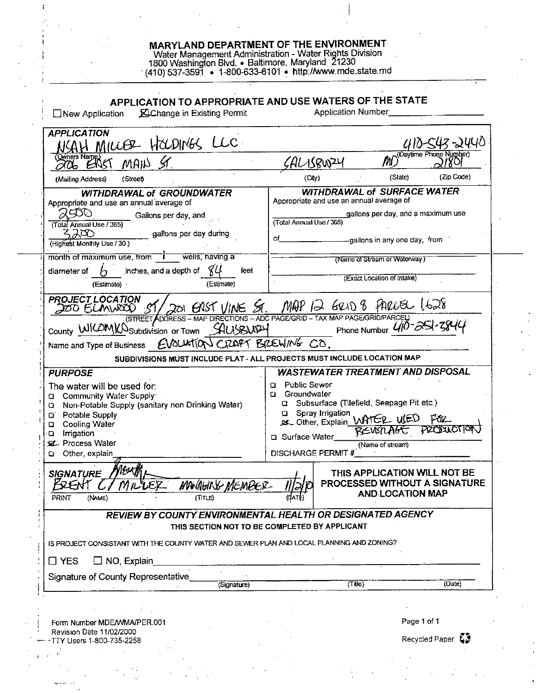MARYLAND DEPARTMENT OF THE ENVIRONMENT<br>
Water Management Administration - Water Rights Division<br>
1800 Washington Blvd. • Baltimore, Maryland 21230<br>
(410) 537-3591 • 1-800-633-6101 • http://www.mde.state.md

| □ New Application <b>X</b> Change in Existing Permit                                                                                                                                                                                                                                                                    | APPLICATION TO APPROPRIATE AND USE WATERS OF THE STATE<br>Application Number                                                                                                                                                                                                                                    |  |  |
|-------------------------------------------------------------------------------------------------------------------------------------------------------------------------------------------------------------------------------------------------------------------------------------------------------------------------|-----------------------------------------------------------------------------------------------------------------------------------------------------------------------------------------------------------------------------------------------------------------------------------------------------------------|--|--|
| <b>APPLICATION</b><br>VSAH MILLER HOLDINGS LLC.                                                                                                                                                                                                                                                                         | 352440                                                                                                                                                                                                                                                                                                          |  |  |
| Owners Name<br>MAIN ST<br>206 ENST                                                                                                                                                                                                                                                                                      | (Daytime Phone Number)<br>CALISBWZY                                                                                                                                                                                                                                                                             |  |  |
| (Mailing Address)<br>(Street)                                                                                                                                                                                                                                                                                           | (Zip Code)<br>(State)<br>(City)                                                                                                                                                                                                                                                                                 |  |  |
| <b>WITHDRAWAL of GROUNDWATER</b><br>Appropriate and use an annual average of<br>Gallons per day, and<br>(Total Annual Use / 365)<br><u>१५०० - १</u><br>gallons per day during<br>(Highest Monthly Use / 30)<br>month of maximum use, from i wells, having a                                                             | WITHDRAWAL of SURFACE WATER<br>Appropriate and use an annual average of<br>gallons per day, and a maximum use<br>(Total Annual Use/365)<br>of<br>gallons in any one day, from<br>(Name of Stream or Waterway)                                                                                                   |  |  |
| inches, and a depth of $\mathcal{H}$<br>feet<br>diameter of<br>(Estimate)<br>(Estimate)                                                                                                                                                                                                                                 | (Exact Location of Intake)                                                                                                                                                                                                                                                                                      |  |  |
| <b>PROJECT LOCATION</b><br>MAP 12 GRID 8 PARCEL 1628<br>200 ELANWOO ST/201 EAST VINE ST.<br>ADDRESS - MAP DIRECTIONS - ADC PAGE/GRID - TAX MAP PAGE/GRID/PARCELY<br><b>(STREET</b><br>Phone Number 410-251-3844<br>County WICOMKASubdivision or Town SAUSSUPH<br>Name and Type of Business EVOLUSTION CRAPT BREWING CO. |                                                                                                                                                                                                                                                                                                                 |  |  |
| SUBDIVISIONS MUST INCLUDE PLAT - ALL PROJECTS MUST INCLUDE LOCATION MAP                                                                                                                                                                                                                                                 |                                                                                                                                                                                                                                                                                                                 |  |  |
| <b>PURPOSE</b><br>The water will be used for:<br>Community Water Supply<br>Non-Potable Supply (sanitary non Drinking Water)<br>O.<br>D Potable Supply<br>Cooling Water<br>o<br>Irrigation<br>o<br><b>SZL</b> Process Water<br>Other, explain                                                                            | <b>WASTEWATER TREATMENT AND DISPOSAL</b><br><b>Public Sewer</b><br>o<br><b>El Groundwater</b><br>G Subsurface (Tilefield, Seepage Pit etc.)<br><b>D</b> Spray Irrigation<br>A Other, Explain WATER WED FOR<br>REVERA <del>RE</del> PRODUCTOR<br>□ Surface Water<br>(Name of stream)<br><b>DISCHARGE PERMIT#</b> |  |  |
| <b>SIGNATURE</b><br>C/MILLER<br>MAMHING MEMBER-<br>(NAME)<br>ராம<br>PRINT                                                                                                                                                                                                                                               | THIS APPLICATION WILL NOT BE<br>PROCESSED WITHOUT A SIGNATURE<br><b>AND LOCATION MAP</b>                                                                                                                                                                                                                        |  |  |
| <b>REVIEW BY COUNTY ENVIRONMENTAL HEALTH OR DESIGNATED AGENCY</b><br>THIS SECTION NOT TO BE COMPLETED BY APPLICANT                                                                                                                                                                                                      |                                                                                                                                                                                                                                                                                                                 |  |  |
| IS PROJECT CONSISTANT WITH THE COUNTY WATER AND SEWER PLAN AND LOCAL PLANNING AND ZONING?                                                                                                                                                                                                                               |                                                                                                                                                                                                                                                                                                                 |  |  |
| $\Box$ YES<br>□ NO, Explain                                                                                                                                                                                                                                                                                             |                                                                                                                                                                                                                                                                                                                 |  |  |
| Signature of County Representative<br>(Signature)                                                                                                                                                                                                                                                                       | (Tile)<br>(Date)                                                                                                                                                                                                                                                                                                |  |  |
|                                                                                                                                                                                                                                                                                                                         |                                                                                                                                                                                                                                                                                                                 |  |  |
| Form Number MDE/WMA/PER.001<br><b>Revision Date 11/02/2000</b><br>TTY Users 1-800-735-2258                                                                                                                                                                                                                              | Page 1 of 1<br>Recycled Paper & 3                                                                                                                                                                                                                                                                               |  |  |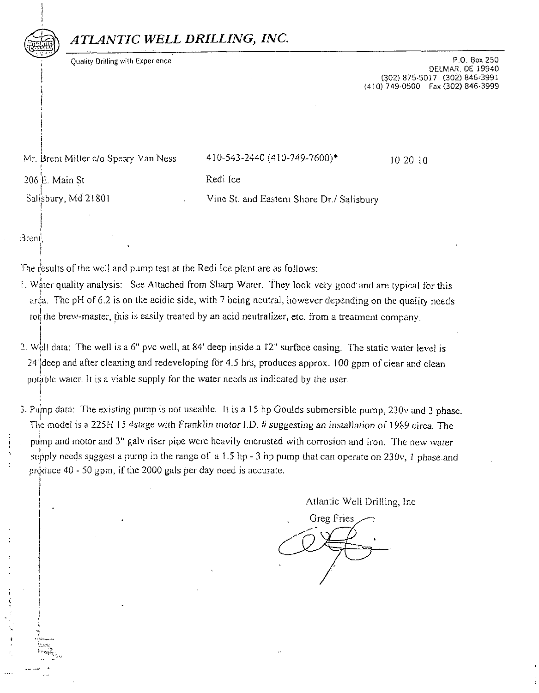# ATLANTIC WELL DRILLING, INC.

Qualiry Drilling with Experience

P.O. Box 250 DELMAR DE 19940 (302) 875 5017 (302) 846 3991 (410) 749-0500 Fax (302) 846-3999

Mr. Brent Miller c/o Sperry Van Ness 206 E. Main St

410-543-2440 (410-749-7600)\*

 $10 - 20 - 10$ 

Redi Ice

Salisbury, Md 21801

Redi Ice<br>Vine St. and Eastern Shore Dr./ Salisbury

Breni.

i

 $\begin{array}{c}\n\cdot & \cdot \\
\cdot & \cdot \\
\cdot & \cdot\n\end{array}$ 

The results of the well and pump test at the Redi Ice plant are as follows:

- I. Water quality analysis: See Attached from Sharp Water. They look very good and are typical for this the results of the Water quality<br>area. The pH<br> $\frac{1}{2}$  The pH water quanty analysis: See Attached from Sharp water. They look very good and are typical for this area.<br>The pH of 6.2 is on the acidic side, with 7 being neutral, however depending on the quality needs<br>for the brew-master
- 2. Well data: The well is a 6" pvc well, at 84' deep inside a 12" surface casing. The static water level is 24 deep and after cleaning and redeveloping for 4.5 hrs, produces approx. 100 gpm of clear and clean potable water. It is a viable supply for the water needs as indicated by the user.
- 3. Pump data: The existing pump is not useable. It is a 15 hp Goulds submersible pump,  $230v$  and 3 phase. The model is a 225H 15 4stage with Franklin motor l.D.  $\#$  suggesting an installation of 1989 circa. The pump and motor and 3" galv riser pipe were heavily encrusted with corrosion and iron. The new water supply needs suggest a pump in the range of a 1.5 hp  $-$  3 hp pump that can operate on 230v, 1 phase and produce  $40 - 50$  gpm, if the 2000 gals per day need is accurate. I

Atlantic Well Drilling, Inc.

Greg Pries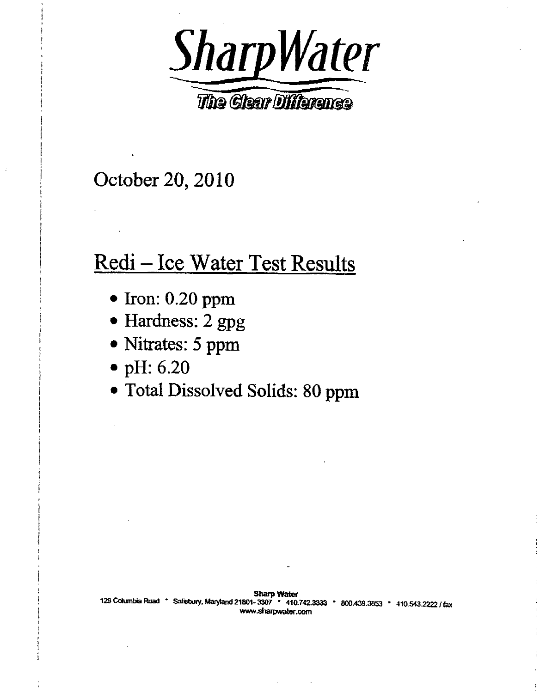

October 20, 2010

# Redi - Ice Water Test Results

- $\bullet$  Iron: 0.20 ppm
- · Hardness: 2 gpg
- · Nitrates: 5 ppm
- pH:  $6.20$
- Total Dissolved Solids: 80 ppm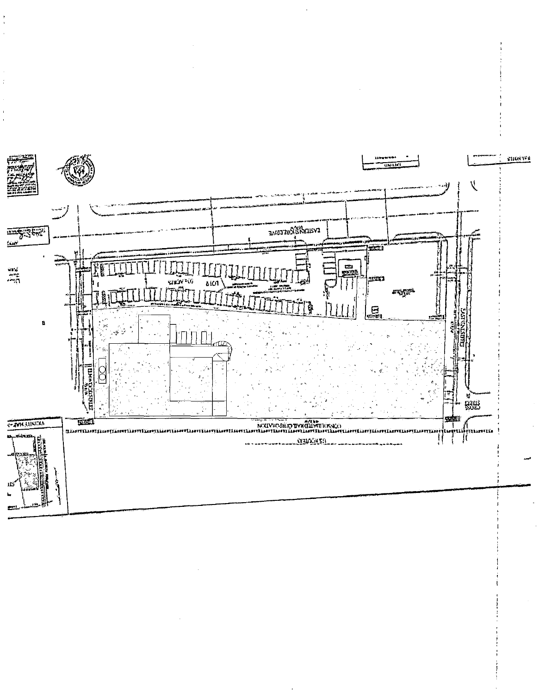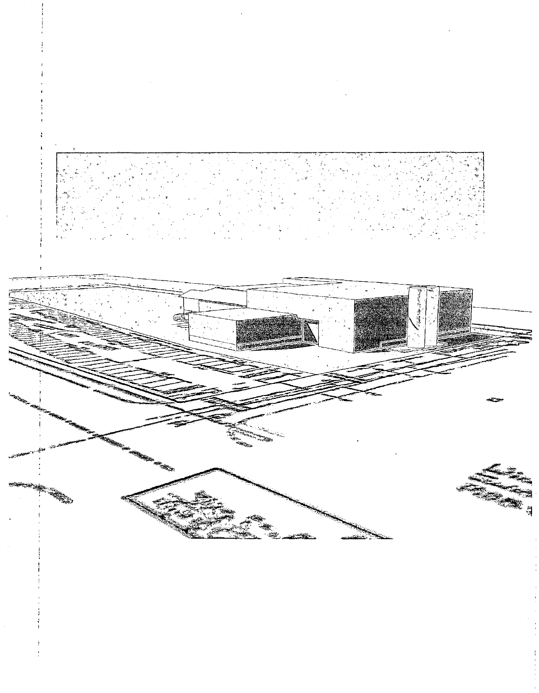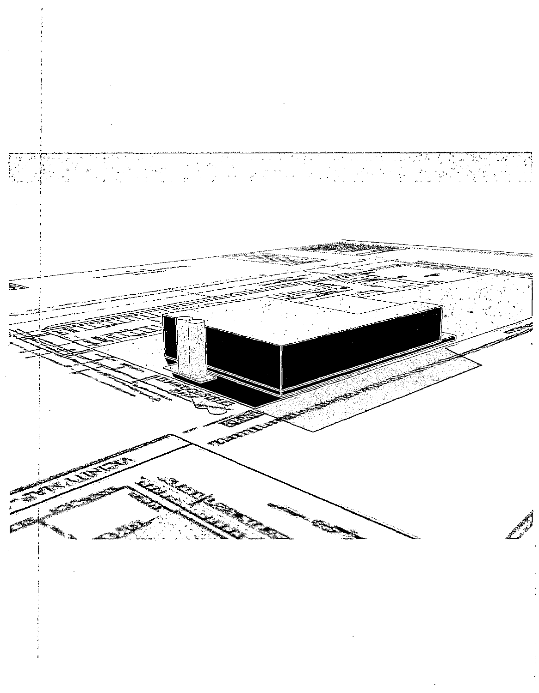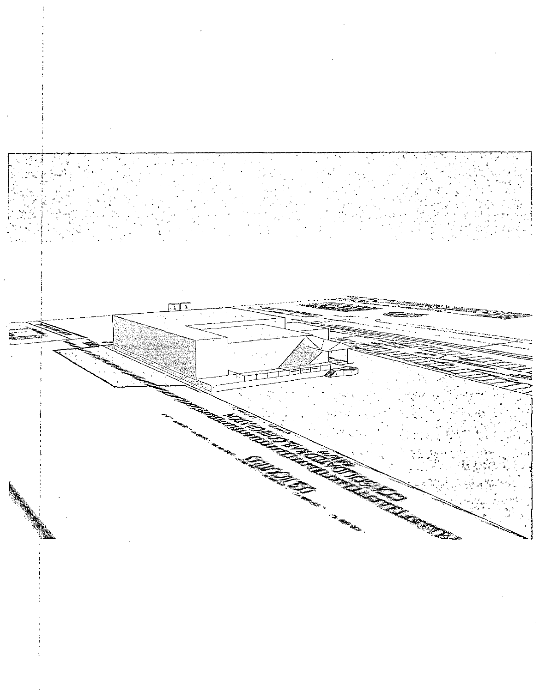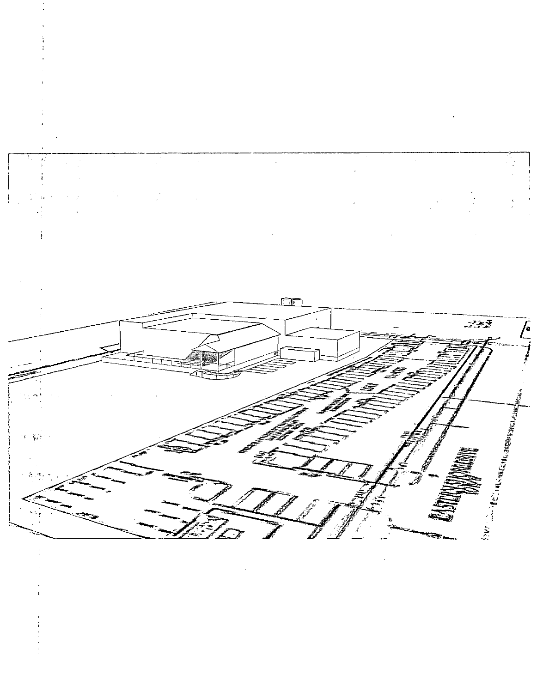

 $\frac{1}{2}$ 4.  $\frac{1}{2}$  $\sim$  $\mathbb{R}^2$  $\mathcal{L}$  $\frac{1}{3}$  $\frac{1}{2}$  $\mathbf{t}_{2}$ ł



ï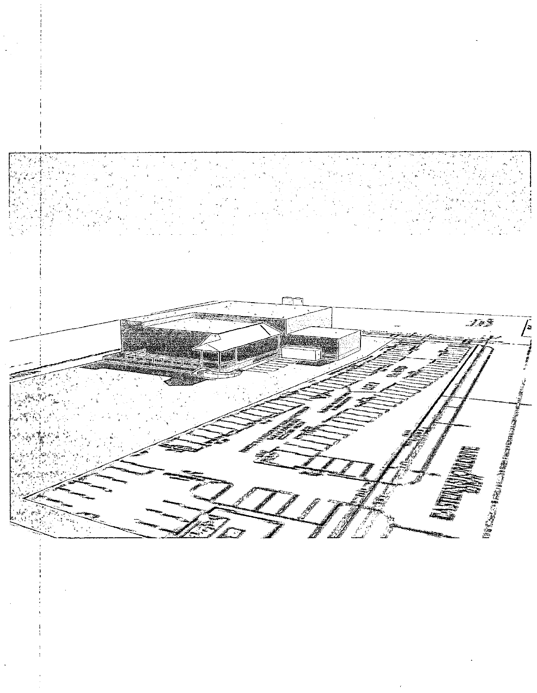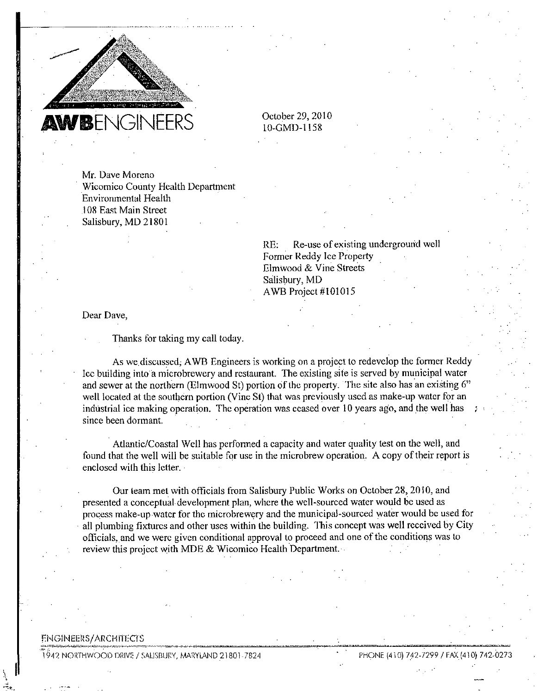

October 29, 2010 October 29, 201<br>10-GMD-1158

Mr. Dave Moreno Wicomico County Health Department Environmental Health 108 East Main Street Salisbury, MD 21801

> RE: Re-use of existing underground well Former Keddy Ice Property Elmwood & Vine Streets Salisbury, MD AWB Project #101015

Dear Dave,

Thanks for taking my call today

Thanks for taking my call today.<br>As we discussed, AWB Engineers is working on a<br>ding into a microbrewery and restaurant. The exis project to redevelop the former Keddy Ice building into a microbrewery and restaurant. The existing site is served by municipal water and sewer at the northern (Elmwood St) portion of the property. The site also has an existing  $6$ " well located at the southern portion (Vine St) that was previously used as make-up water for an industrial ice making operation. The operation was ceased over 10 years ago, and the well has since been dormant

Atlantic/Coastal Well has performed a capacity and water quality test on the well, and found that the well will be suitable for use in the microbrew operation. A copy of their report is enclosed with this letter

Our team met with officials from Salisbury Public Works on October 28, 2010, and<br>ed a conceptual development plan, where the well-sourced water would be used as presented a conceptual development plan, where the well-sourced water would be used as process make up water for the microbrewery and the municipal sourced water would be used for all plumbing fixtures and other uses within the building. This concept was well received by City officials and we were given conditional approval to proceed and one of the conditions was to review this project with MDE & Wicomico Health Department.

## EN GINEERS/ARCHITECTS

i

1942 NORTHWOOD DRIVE / SALISBURY, MARYLAND 21801-7824 Phone (410) 742-7299 / FAX (410) 743-7299 FAX (410 74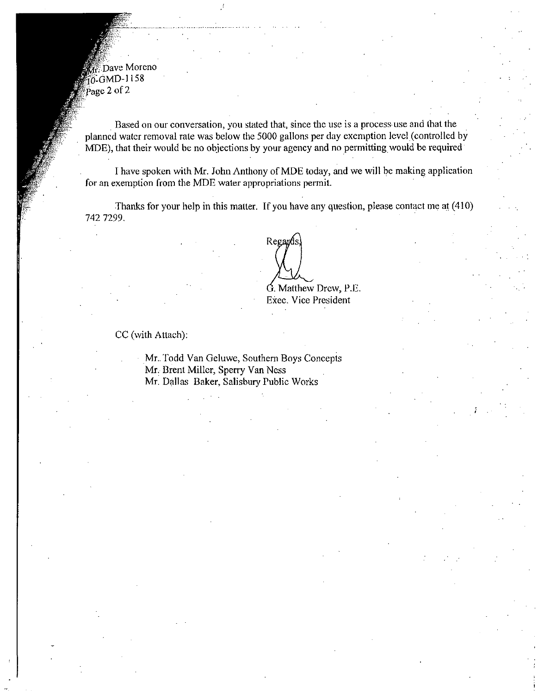**Ar**: Dave Moreno 10-GMD-1158  $P$ age 2 of 2

Based on our conversation, you stated that, since the use is a process use and that the planned water removal rate was below the 5000 gallons per day exemption level (controlled by MDE), that their usual he no objections b  $MDE$ , that their would be no objections by your agency and no permitting would be required

I have spoken with Mr. John Anthony of MDE today, and we will be making application for an exemption from the MDE water appropriations permit

Thanks for your help in this matter. If you have any question, please contact me at  $(410)$ 742 7299

Regand:

G. Matthew Drew, P.E. Ezec Vice President

CC (with Attach):

Spoken with Mr. John Anthony of MDE today, and the MDE water appropriations permit.<br>
for your help in this matter. If you have any que Regards<br>
(Concepts)<br>
(G. Matthew Drew<br>
Exec. Vice Preside<br>
th Attach):<br>
Mr. Todd Van Ge Mr. Brent Miller, Sperry Van Ness Mr. Dallas Baker, Salisbury Public Works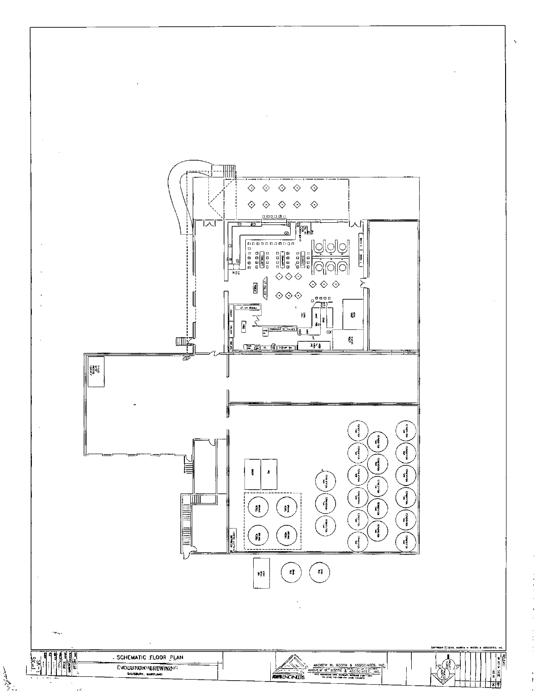